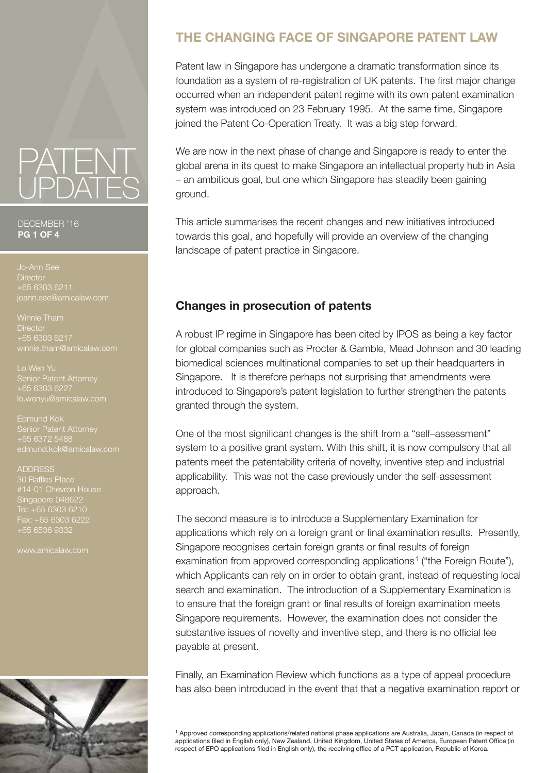# PATENT UPDATES

#### DECEMBER '16 **PG 1 OF 4**

**Director** +65 6303 6211 ann.see@amicalaw.com

Winnie Tham **Director** +65 6303 6217 winnie.tham@amicalaw.com

Lo Wen Yu Senior Patent Attorney +65 6303 6227 lo.wenyu@amicalaw.com

Edmund Kok +65 6372 5488

ADDRESS #14-01 Chevron House Singapore 048622 Fax: +65 6303 6222 +65 6536 9332

www.amicalaw.com



## **THE CHANGING FACE OF SINGAPORE PATENT LAW**

Patent law in Singapore has undergone a dramatic transformation since its foundation as a system of re-registration of UK patents. The first major change occurred when an independent patent regime with its own patent examination system was introduced on 23 February 1995. At the same time, Singapore joined the Patent Co-Operation Treaty. It was a big step forward.

We are now in the next phase of change and Singapore is ready to enter the global arena in its quest to make Singapore an intellectual property hub in Asia – an ambitious goal, but one which Singapore has steadily been gaining ground.

This article summarises the recent changes and new initiatives introduced towards this goal, and hopefully will provide an overview of the changing landscape of patent practice in Singapore.

### **Changes in prosecution of patents**

A robust IP regime in Singapore has been cited by IPOS as being a key factor for global companies such as Procter & Gamble, Mead Johnson and 30 leading biomedical sciences multinational companies to set up their headquarters in Singapore. It is therefore perhaps not surprising that amendments were introduced to Singapore's patent legislation to further strengthen the patents granted through the system.

One of the most significant changes is the shift from a "self–assessment" system to a positive grant system. With this shift, it is now compulsory that all patents meet the patentability criteria of novelty, inventive step and industrial applicability. This was not the case previously under the self-assessment approach.

The second measure is to introduce a Supplementary Examination for applications which rely on a foreign grant or final examination results. Presently, Singapore recognises certain foreign grants or final results of foreign examination from approved corresponding applications<sup>1</sup> ("the Foreign Route"), which Applicants can rely on in order to obtain grant, instead of requesting local search and examination. The introduction of a Supplementary Examination is to ensure that the foreign grant or final results of foreign examination meets Singapore requirements. However, the examination does not consider the substantive issues of novelty and inventive step, and there is no official fee payable at present.

Finally, an Examination Review which functions as a type of appeal procedure has also been introduced in the event that that a negative examination report or

<sup>1</sup> Approved corresponding applications/related national phase applications are Australia, Japan, Canada (in respect of applications filed in English only), New Zealand, United Kingdom, United States of America, European Patent Office (in respect of EPO applications filed in English only), the receiving office of a PCT application, Republic of Korea.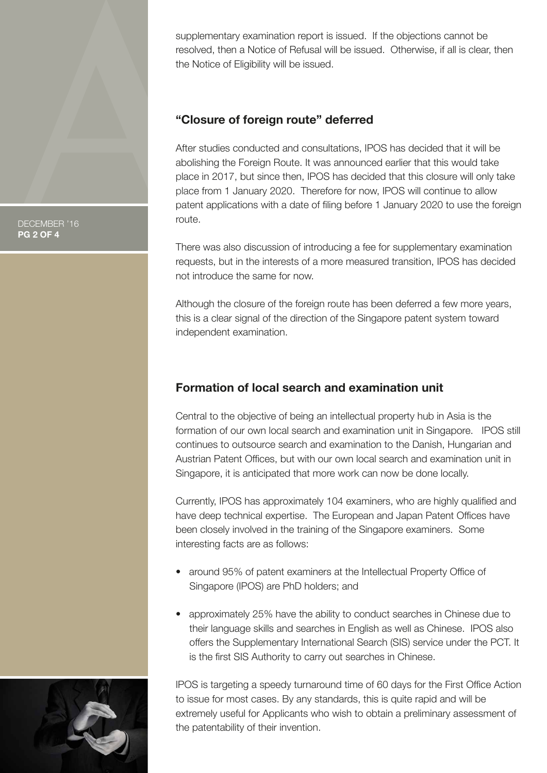supplementary examination report is issued. If the objections cannot be resolved, then a Notice of Refusal will be issued. Otherwise, if all is clear, then the Notice of Eligibility will be issued.

#### **"Closure of foreign route" deferred**

After studies conducted and consultations, IPOS has decided that it will be abolishing the Foreign Route. It was announced earlier that this would take place in 2017, but since then, IPOS has decided that this closure will only take place from 1 January 2020. Therefore for now, IPOS will continue to allow patent applications with a date of filing before 1 January 2020 to use the foreign route.

There was also discussion of introducing a fee for supplementary examination requests, but in the interests of a more measured transition, IPOS has decided not introduce the same for now.

Although the closure of the foreign route has been deferred a few more years, this is a clear signal of the direction of the Singapore patent system toward independent examination.

## **Formation of local search and examination unit**

Central to the objective of being an intellectual property hub in Asia is the formation of our own local search and examination unit in Singapore. IPOS still continues to outsource search and examination to the Danish, Hungarian and Austrian Patent Offices, but with our own local search and examination unit in Singapore, it is anticipated that more work can now be done locally.

Currently, IPOS has approximately 104 examiners, who are highly qualified and have deep technical expertise. The European and Japan Patent Offices have been closely involved in the training of the Singapore examiners. Some interesting facts are as follows:

- around 95% of patent examiners at the Intellectual Property Office of Singapore (IPOS) are PhD holders; and
- approximately 25% have the ability to conduct searches in Chinese due to their language skills and searches in English as well as Chinese. IPOS also offers the Supplementary International Search (SIS) service under the PCT. It is the first SIS Authority to carry out searches in Chinese.

IPOS is targeting a speedy turnaround time of 60 days for the First Office Action to issue for most cases. By any standards, this is quite rapid and will be extremely useful for Applicants who wish to obtain a preliminary assessment of the patentability of their invention.

DECEMBER '16 **PG 2 OF 4**

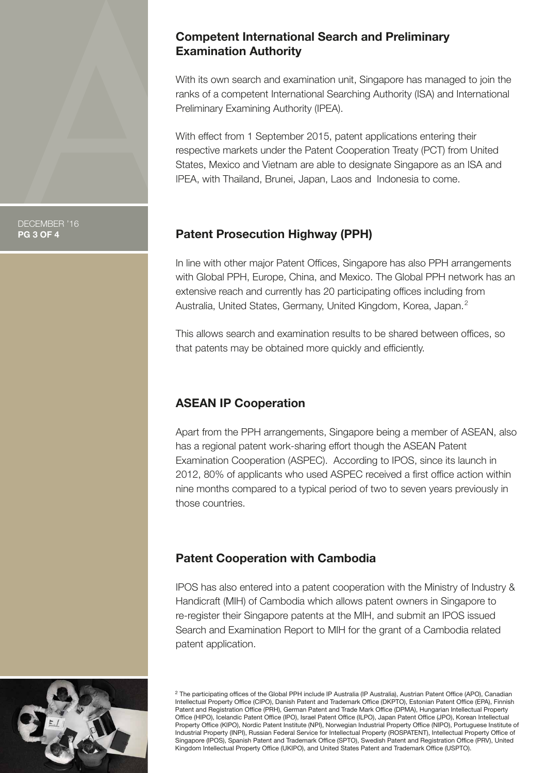#### **Competent International Search and Preliminary Examination Authority**

With its own search and examination unit, Singapore has managed to join the ranks of a competent International Searching Authority (ISA) and International Preliminary Examining Authority (IPEA).

With effect from 1 September 2015, patent applications entering their respective markets under the Patent Cooperation Treaty (PCT) from United States, Mexico and Vietnam are able to designate Singapore as an ISA and IPEA, with Thailand, Brunei, Japan, Laos and Indonesia to come.

## **Patent Prosecution Highway (PPH)**

In line with other major Patent Offices, Singapore has also PPH arrangements with Global PPH, Europe, China, and Mexico. The Global PPH network has an extensive reach and currently has 20 participating offices including from Australia, United States, Germany, United Kingdom, Korea, Japan.<sup>2</sup>

This allows search and examination results to be shared between offices, so that patents may be obtained more quickly and efficiently.

## **ASEAN IP Cooperation**

Apart from the PPH arrangements, Singapore being a member of ASEAN, also has a regional patent work-sharing effort though the ASEAN Patent Examination Cooperation (ASPEC). According to IPOS, since its launch in 2012, 80% of applicants who used ASPEC received a first office action within nine months compared to a typical period of two to seven years previously in those countries.

## **Patent Cooperation with Cambodia**

IPOS has also entered into a patent cooperation with the Ministry of Industry & Handicraft (MIH) of Cambodia which allows patent owners in Singapore to re-register their Singapore patents at the MIH, and submit an IPOS issued Search and Examination Report to MIH for the grant of a Cambodia related patent application.



<sup>2</sup> The participating offices of the Global PPH include IP Australia (IP Australia), Austrian Patent Office (APO), Canadian Intellectual Property Office (CIPO), Danish Patent and Trademark Office (DKPTO), Estonian Patent Office (EPA), Finnish Patent and Registration Office (PRH), German Patent and Trade Mark Office (DPMA), Hungarian Intellectual Property Office (HIPO), Icelandic Patent Office (IPO), Israel Patent Office (ILPO), Japan Patent Office (JPO), Korean Intellectual Property Office (KIPO), Nordic Patent Institute (NPI), Norwegian Industrial Property Office (NIPO), Portuguese Institute of Industrial Property (INPI), Russian Federal Service for Intellectual Property (ROSPATENT), Intellectual Property Office of Singapore (IPOS), Spanish Patent and Trademark Office (SPTO), Swedish Patent and Registration Office (PRV), United Kingdom Intellectual Property Office (UKIPO), and United States Patent and Trademark Office (USPTO).

DECEMBER '16 **PG 3 OF 4**